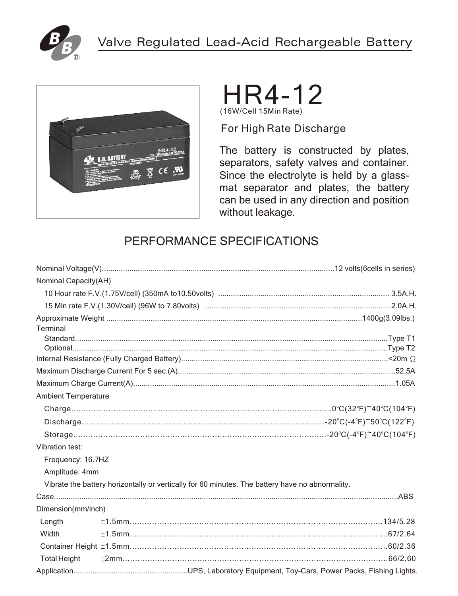



# HR4-12 (16W/Cell 15Min Rate)

For High Rate Discharge

The battery is constructed by plates, separators, safety valves and container. Since the electrolyte is held by a glassmat separator and plates, the battery can be used in any direction and position without leakage.

## PERFORMANCE SPECIFICATIONS

| <b>Nominal Capacity(AH)</b> |  |                                                                                                 |  |  |  |
|-----------------------------|--|-------------------------------------------------------------------------------------------------|--|--|--|
|                             |  |                                                                                                 |  |  |  |
|                             |  |                                                                                                 |  |  |  |
|                             |  |                                                                                                 |  |  |  |
| Terminal                    |  |                                                                                                 |  |  |  |
|                             |  |                                                                                                 |  |  |  |
|                             |  |                                                                                                 |  |  |  |
|                             |  |                                                                                                 |  |  |  |
|                             |  |                                                                                                 |  |  |  |
|                             |  |                                                                                                 |  |  |  |
| <b>Ambient Temperature</b>  |  |                                                                                                 |  |  |  |
|                             |  |                                                                                                 |  |  |  |
|                             |  |                                                                                                 |  |  |  |
|                             |  |                                                                                                 |  |  |  |
| Vibration test:             |  |                                                                                                 |  |  |  |
| Frequency: 16.7HZ           |  |                                                                                                 |  |  |  |
| Amplitude: 4mm              |  |                                                                                                 |  |  |  |
|                             |  | Vibrate the battery horizontally or vertically for 60 minutes. The battery have no abnormality. |  |  |  |
|                             |  |                                                                                                 |  |  |  |
| Dimension(mm/inch)          |  |                                                                                                 |  |  |  |
| Length                      |  |                                                                                                 |  |  |  |
| Width                       |  |                                                                                                 |  |  |  |
|                             |  |                                                                                                 |  |  |  |
| <b>Total Height</b>         |  |                                                                                                 |  |  |  |
|                             |  |                                                                                                 |  |  |  |